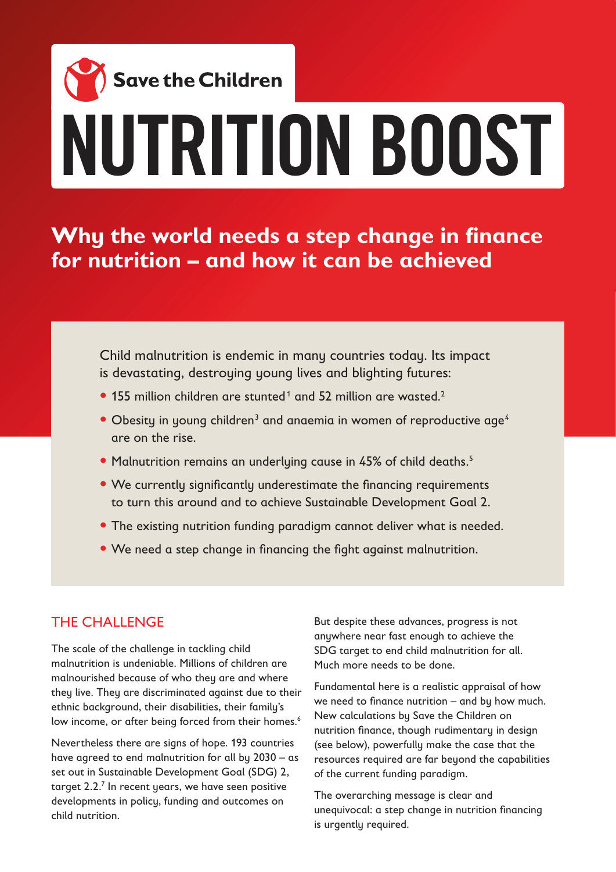# **Save the Children** NUTRITION BOOST

**Why the world needs a step change in finance for nutrition – and how it can be achieved**

Child malnutrition is endemic in many countries today. Its impact is devastating, destroying young lives and blighting futures:

- $\bullet$  155 million children are stunted<sup>1</sup> and 52 million are wasted.<sup>2</sup>
- Obesity in young children<sup>3</sup> and anaemia in women of reproductive age<sup>4</sup> are on the rise.
- Malnutrition remains an underlying cause in 45% of child deaths.<sup>5</sup>
- We currently significantly underestimate the financing requirements to turn this around and to achieve Sustainable Development Goal 2.
- The existing nutrition funding paradigm cannot deliver what is needed.
- We need a step change in financing the fight against malnutrition.

#### THE CHALLENGE

The scale of the challenge in tackling child malnutrition is undeniable. Millions of children are malnourished because of who they are and where they live. They are discriminated against due to their ethnic background, their disabilities, their family's low income, or after being forced from their homes.<sup>6</sup>

Nevertheless there are signs of hope. 193 countries have agreed to end malnutrition for all by 2030 – as set out in Sustainable Development Goal (SDG) 2, target 2.2. $<sup>7</sup>$  In recent years, we have seen positive</sup> developments in policy, funding and outcomes on child nutrition.

But despite these advances, progress is not anywhere near fast enough to achieve the SDG target to end child malnutrition for all. Much more needs to be done.

Fundamental here is a realistic appraisal of how we need to finance nutrition – and by how much. New calculations by Save the Children on nutrition finance, though rudimentary in design (see below), powerfully make the case that the resources required are far beyond the capabilities of the current funding paradigm.

The overarching message is clear and unequivocal: a step change in nutrition financing is urgently required.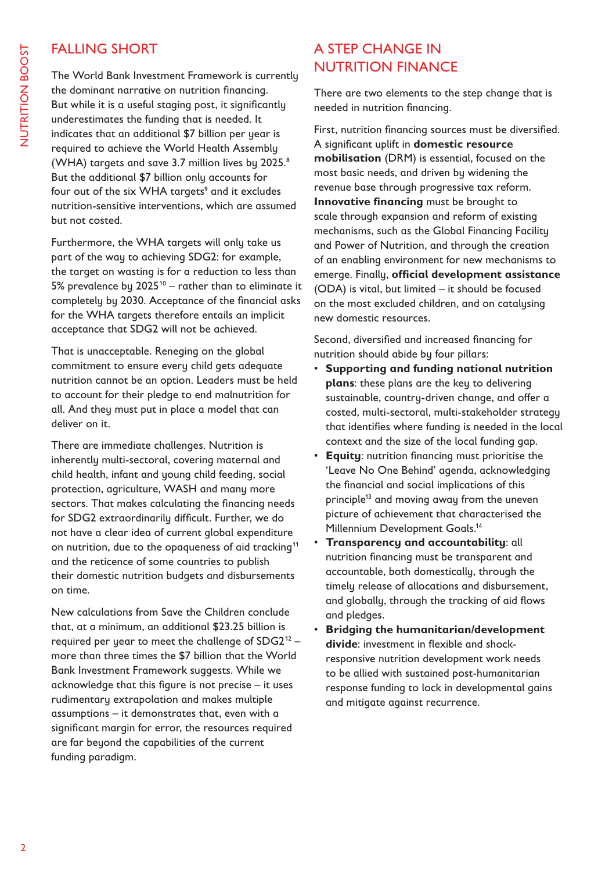#### FALLING SHORT

The World Bank Investment Framework is currently the dominant narrative on nutrition financing. But while it is a useful staging post, it significantly underestimates the funding that is needed. It indicates that an additional \$7 billion per year is required to achieve the World Health Assembly (WHA) targets and save 3.7 million lives by 2025.8 But the additional \$7 billion only accounts for four out of the six WHA targets<sup>9</sup> and it excludes nutrition-sensitive interventions, which are assumed but not costed.

Furthermore, the WHA targets will only take us part of the way to achieving SDG2: for example, the target on wasting is for a reduction to less than 5% prevalence by  $2025^{10}$  – rather than to eliminate it completely by 2030. Acceptance of the financial asks for the WHA targets therefore entails an implicit acceptance that SDG2 will not be achieved.

That is unacceptable. Reneging on the global commitment to ensure every child gets adequate nutrition cannot be an option. Leaders must be held to account for their pledge to end malnutrition for all. And they must put in place a model that can deliver on it.

There are immediate challenges. Nutrition is inherently multi-sectoral, covering maternal and child health, infant and young child feeding, social protection, agriculture, WASH and many more sectors. That makes calculating the financing needs for SDG2 extraordinarily difficult. Further, we do not have a clear idea of current global expenditure on nutrition, due to the opaqueness of aid tracking<sup>11</sup> and the reticence of some countries to publish their domestic nutrition budgets and disbursements on time.

New calculations from Save the Children conclude that, at a minimum, an additional \$23.25 billion is required per year to meet the challenge of  $SDG2^{12}$  – more than three times the \$7 billion that the World Bank Investment Framework suggests. While we acknowledge that this figure is not precise – it uses rudimentary extrapolation and makes multiple assumptions – it demonstrates that, even with a significant margin for error, the resources required are far beyond the capabilities of the current funding paradigm.

#### A STEP CHANGE IN NUTRITION FINANCE

There are two elements to the step change that is needed in nutrition financing.

First, nutrition financing sources must be diversified. A significant uplift in **domestic resource mobilisation** (DRM) is essential, focused on the most basic needs, and driven by widening the revenue base through progressive tax reform. **Innovative financing** must be brought to scale through expansion and reform of existing mechanisms, such as the Global Financing Facility and Power of Nutrition, and through the creation of an enabling environment for new mechanisms to emerge. Finally, **official development assistance** (ODA) is vital, but limited – it should be focused on the most excluded children, and on catalysing new domestic resources.

Second, diversified and increased financing for nutrition should abide by four pillars:

- **Supporting and funding national nutrition plans**: these plans are the key to delivering sustainable, country-driven change, and offer a costed, multi-sectoral, multi-stakeholder strategy that identifies where funding is needed in the local context and the size of the local funding gap.
- **Equity:** nutrition financing must prioritise the 'Leave No One Behind' agenda, acknowledging the financial and social implications of this principle<sup>13</sup> and moving away from the uneven picture of achievement that characterised the Millennium Development Goals.<sup>14</sup>
- **Transparency and accountability**: all nutrition financing must be transparent and accountable, both domestically, through the timely release of allocations and disbursement, and globally, through the tracking of aid flows and pledges.
- **Bridging the humanitarian/development divide**: investment in flexible and shockresponsive nutrition development work needs to be allied with sustained post-humanitarian response funding to lock in developmental gains and mitigate against recurrence.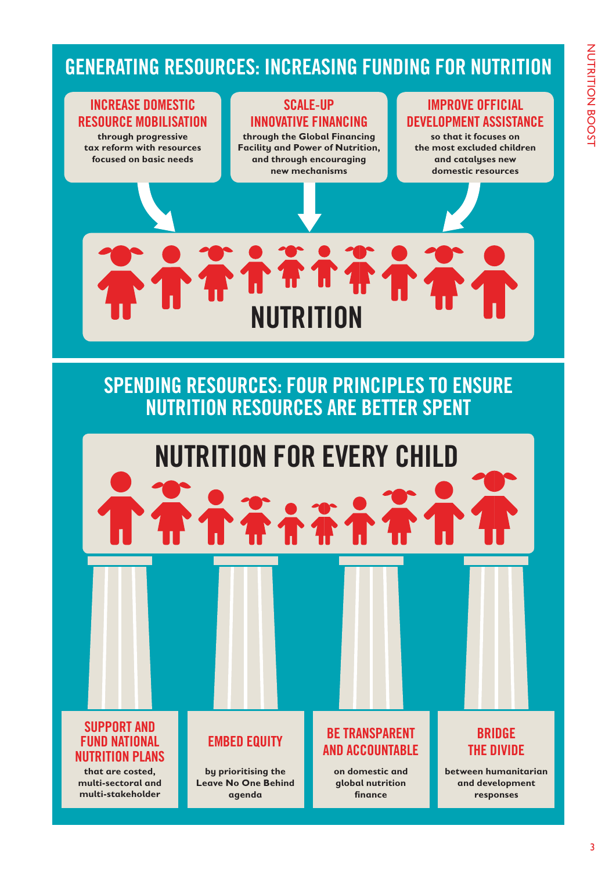# GENERATING RESOURCES: INCREASING FUNDING FOR NUTRITION

#### INCREASE DOMESTIC RESOURCE MOBILISATION

**through progressive tax reform with resources focused on basic needs**

#### SCALE-UP INNOVATIVE FINANCING

**through the Global Financing Facility and Power of Nutrition, and through encouraging new mechanisms**

#### IMPROVE OFFICIAL DEVELOPMENT ASSISTANCE

**so that it focuses on the most excluded children and catalyses new domestic resources**



# SPENDING RESOURCES: FOUR PRINCIPLES TO ENSURE NUTRITION RESOURCES ARE BETTER SPENT

# NUTRITION FOR EVERY CHILD

#### SUPPORT AND FUND NATIONAL NUTRITION PLANS

**that are costed, multi-sectoral and multi-stakeholder** 

### EMBED EQUITY

**by prioritising the Leave No One Behind agenda**

#### BE TRANSPARENT AND ACCOUNTABLE

**on domestic and global nutrition finance**

## BRIDGE THE DIVIDE

**between humanitarian and development responses**